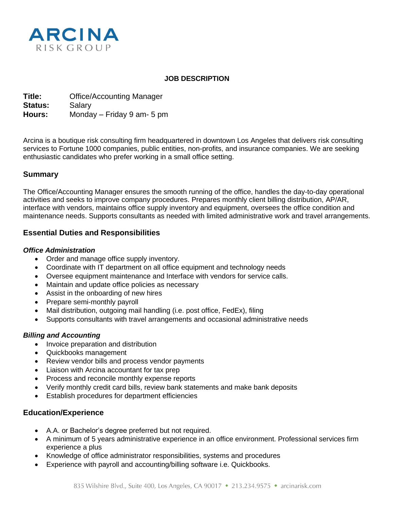

### **JOB DESCRIPTION**

**Title:** Office/Accounting Manager **Status:** Salary **Hours:** Monday – Friday 9 am- 5 pm

Arcina is a boutique risk consulting firm headquartered in downtown Los Angeles that delivers risk consulting services to Fortune 1000 companies, public entities, non-profits, and insurance companies. We are seeking enthusiastic candidates who prefer working in a small office setting.

## **Summary**

The Office/Accounting Manager ensures the smooth running of the office, handles the day-to-day operational activities and seeks to improve company procedures. Prepares monthly client billing distribution, AP/AR, interface with vendors, maintains office supply inventory and equipment, oversees the office condition and maintenance needs. Supports consultants as needed with limited administrative work and travel arrangements.

## **Essential Duties and Responsibilities**

#### *Office Administration*

- Order and manage office supply inventory.
- Coordinate with IT department on all office equipment and technology needs
- Oversee equipment maintenance and Interface with vendors for service calls.
- Maintain and update office policies as necessary
- Assist in the onboarding of new hires
- Prepare semi-monthly payroll
- Mail distribution, outgoing mail handling (i.e. post office, FedEx), filing
- Supports consultants with travel arrangements and occasional administrative needs

### *Billing and Accounting*

- Invoice preparation and distribution
- Quickbooks management
- Review vendor bills and process vendor payments
- Liaison with Arcina accountant for tax prep
- Process and reconcile monthly expense reports
- Verify monthly credit card bills, review bank statements and make bank deposits
- Establish procedures for department efficiencies

## **Education/Experience**

- A.A. or Bachelor's degree preferred but not required.
- A minimum of 5 years administrative experience in an office environment. Professional services firm experience a plus
- Knowledge of office administrator responsibilities, systems and procedures
- Experience with payroll and accounting/billing software i.e. Quickbooks.